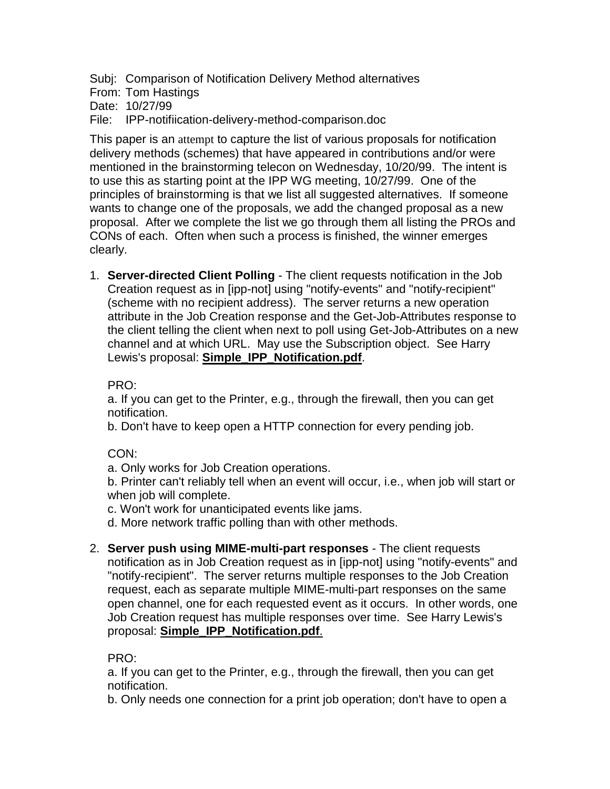<span id="page-0-0"></span>Subj: Comparison of Notification Delivery Method alternatives

From: Tom Hastings

Date: 10/27/99

File: IPP-notifiication-delivery-method-comparison.doc

This paper is an attempt to capture the list of various proposals for notification delivery methods (schemes) that have appeared in contributions and/or were mentioned in the brainstorming telecon on Wednesday, 10/20/99. The intent is to use this as starting point at the IPP WG meeting, 10/27/99. One of the principles of brainstorming is that we list all suggested alternatives. If someone wants to change one of the proposals, we add the changed proposal as a new proposal. After we complete the list we go through them all listing the PROs and CONs of each. Often when such a process is finished, the winner emerges clearly.

1. **Server-directed Client Polling** - The client requests notification in the Job Creation request as in [ipp-not] using "notify-events" and "notify-recipient" (scheme with no recipient address). The server returns a new operation attribute in the Job Creation response and the Get-Job-Attributes response to the client telling the client when next to poll using Get-Job-Attributes on a new channel and at which URL. May use the Subscription object. See Harry Lewis's proposal: **Simple\_IPP\_Notification.pdf**.

PRO:

a. If you can get to the Printer, e.g., through the firewall, then you can get notification.

b. Don't have to keep open a HTTP connection for every pending job.

# CON:

a. Only works for Job Creation operations.

b. Printer can't reliably tell when an event will occur, i.e., when job will start or when job will complete.

- c. Won't work for unanticipated events like jams.
- d. More network traffic polling than with other methods.
- 2. **Server push using MIME-multi-part responses** The client requests notification as in Job Creation request as in [ipp-not] using "notify-events" and "notify-recipient". The server returns multiple responses to the Job Creation request, each as separate multiple MIME-multi-part responses on the same open channel, one for each requested event as it occurs. In other words, one Job Creation request has multiple responses over time. See Harry Lewis's proposal: **Simple\_IPP\_Notification.pdf**.

PRO:

a. If you can get to the Printer, e.g., through the firewall, then you can get notification.

b. Only needs one connection for a print job operation; don't have to open a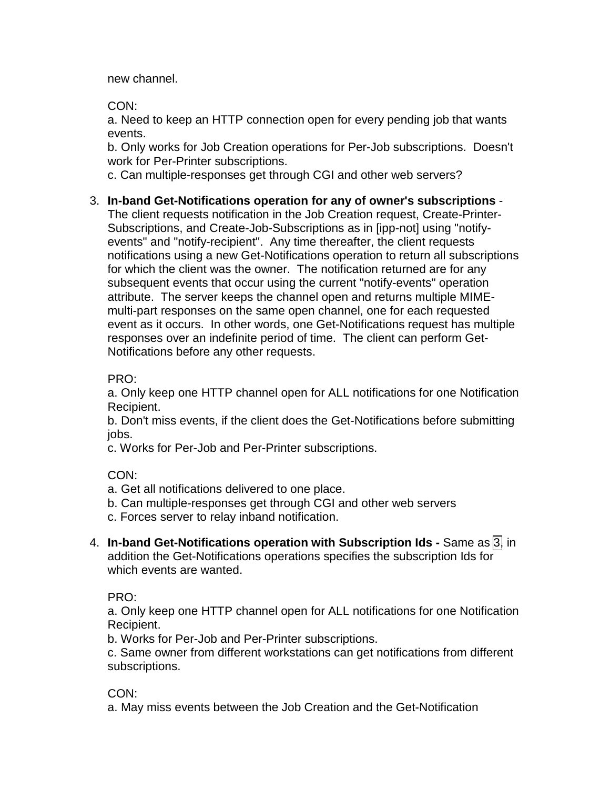<span id="page-1-0"></span>new channel.

CON:

a. Need to keep an HTTP connection open for every pending job that wants events.

b. Only works for Job Creation operations for Per-Job subscriptions. Doesn't work for Per-Printer subscriptions.

c. Can multiple-responses get through CGI and other web servers?

# 3. **In-band Get-Notifications operation for any of owner's subscriptions** -

The client requests notification in the Job Creation request, Create-Printer-Subscriptions, and Create-Job-Subscriptions as in [ipp-not] using "notifyevents" and "notify-recipient". Any time thereafter, the client requests notifications using a new Get-Notifications operation to return all subscriptions for which the client was the owner. The notification returned are for any subsequent events that occur using the current "notify-events" operation attribute. The server keeps the channel open and returns multiple MIMEmulti-part responses on the same open channel, one for each requested event as it occurs. In other words, one Get-Notifications request has multiple responses over an indefinite period of time. The client can perform Get-Notifications before any other requests.

PRO:

a. Only keep one HTTP channel open for ALL notifications for one Notification Recipient.

b. Don't miss events, if the client does the Get-Notifications before submitting jobs.

c. Works for Per-Job and Per-Printer subscriptions.

CON:

a. Get all notifications delivered to one place.

b. Can multiple-responses get through CGI and other web servers

c. Forces server to relay inband notification.

4. **In-band Get-Notifications operation with Subscription Ids -** Same as 3, in addition the Get-Notifications operations specifies the subscription Ids for which events are wanted.

PRO:

a. Only keep one HTTP channel open for ALL notifications for one Notification Recipient.

b. Works for Per-Job and Per-Printer subscriptions.

c. Same owner from different workstations can get notifications from different subscriptions.

CON:

a. May miss events between the Job Creation and the Get-Notification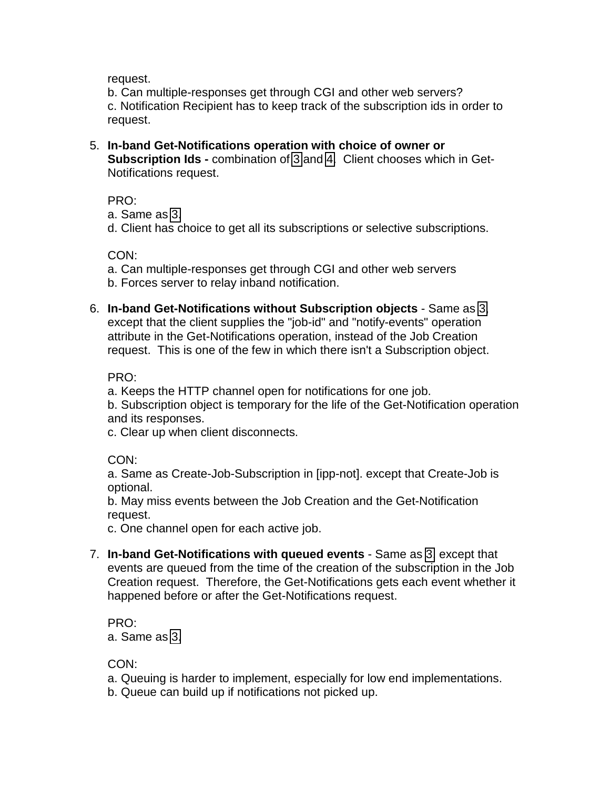<span id="page-2-0"></span>request.

b. Can multiple-responses get through CGI and other web servers? c. Notification Recipient has to keep track of the subscription ids in order to request.

5. **In-band Get-Notifications operation with choice of owner or Subscription Ids -** combination of [3](#page-1-0) and 4. Client chooses which in Get-Notifications request.

PRO:

a. Same as [3.](#page-1-0)

d. Client has choice to get all its subscriptions or selective subscriptions.

CON:

a. Can multiple-responses get through CGI and other web servers b. Forces server to relay inband notification.

6. **In-band Get-Notifications without Subscription objects** - Same as [3,](#page-1-0) except that the client supplies the "job-id" and "notify-events" operation attribute in the Get-Notifications operation, instead of the Job Creation request. This is one of the few in which there isn't a Subscription object.

PRO:

a. Keeps the HTTP channel open for notifications for one job.

b. Subscription object is temporary for the life of the Get-Notification operation and its responses.

c. Clear up when client disconnects.

CON:

a. Same as Create-Job-Subscription in [ipp-not]. except that Create-Job is optional.

b. May miss events between the Job Creation and the Get-Notification request.

c. One channel open for each active job.

7. **In-band Get-Notifications with queued events** - Same as [3,](#page-1-0) except that events are queued from the time of the creation of the subscription in the Job Creation request. Therefore, the Get-Notifications gets each event whether it happened before or after the Get-Notifications request.

PRO: a. Same as [3.](#page-1-0)

CON:

a. Queuing is harder to implement, especially for low end implementations.

b. Queue can build up if notifications not picked up.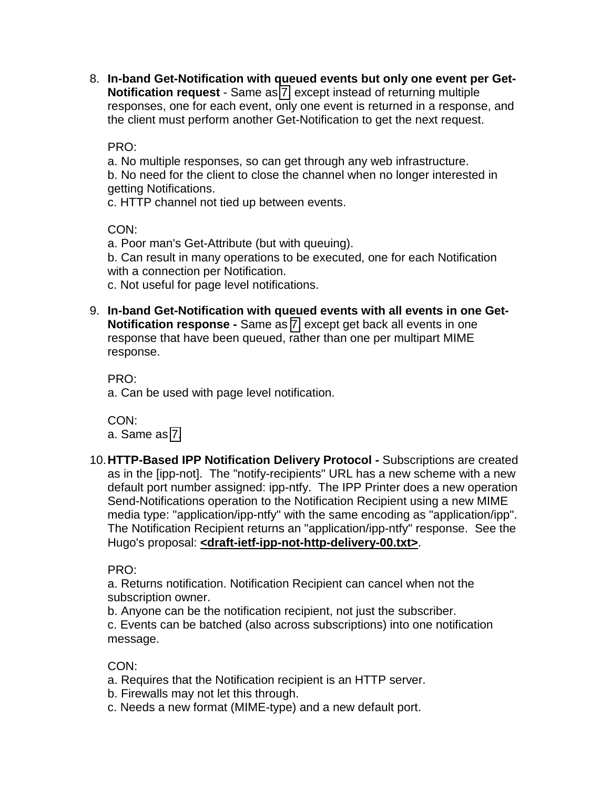8. **In-band Get-Notification with queued events but only one event per Get-Notification request** - Same as [7,](#page-2-0) except instead of returning multiple responses, one for each event, only one event is returned in a response, and the client must perform another Get-Notification to get the next request.

PRO:

a. No multiple responses, so can get through any web infrastructure. b. No need for the client to close the channel when no longer interested in getting Notifications.

c. HTTP channel not tied up between events.

CON:

a. Poor man's Get-Attribute (but with queuing).

b. Can result in many operations to be executed, one for each Notification with a connection per Notification.

c. Not useful for page level notifications.

9. **In-band Get-Notification with queued events with all events in one Get-Notification response -** Same as 7, except get back all events in one response that have been queued, rather than one per multipart MIME response.

PRO:

a. Can be used with page level notification.

CON: a. Same as [7.](#page-2-0)

10. **HTTP-Based IPP Notification Delivery Protocol -** Subscriptions are created as in the [ipp-not]. The "notify-recipients" URL has a new scheme with a new default port number assigned: ipp-ntfy. The IPP Printer does a new operation Send-Notifications operation to the Notification Recipient using a new MIME media type: "application/ipp-ntfy" with the same encoding as "application/ipp". The Notification Recipient returns an "application/ipp-ntfy" response. See the Hugo's proposal: **<draft-ietf-ipp-not-http-delivery-00.txt>**.

PRO:

a. Returns notification. Notification Recipient can cancel when not the subscription owner.

b. Anyone can be the notification recipient, not just the subscriber.

c. Events can be batched (also across subscriptions) into one notification message.

# CON:

a. Requires that the Notification recipient is an HTTP server.

b. Firewalls may not let this through.

c. Needs a new format (MIME-type) and a new default port.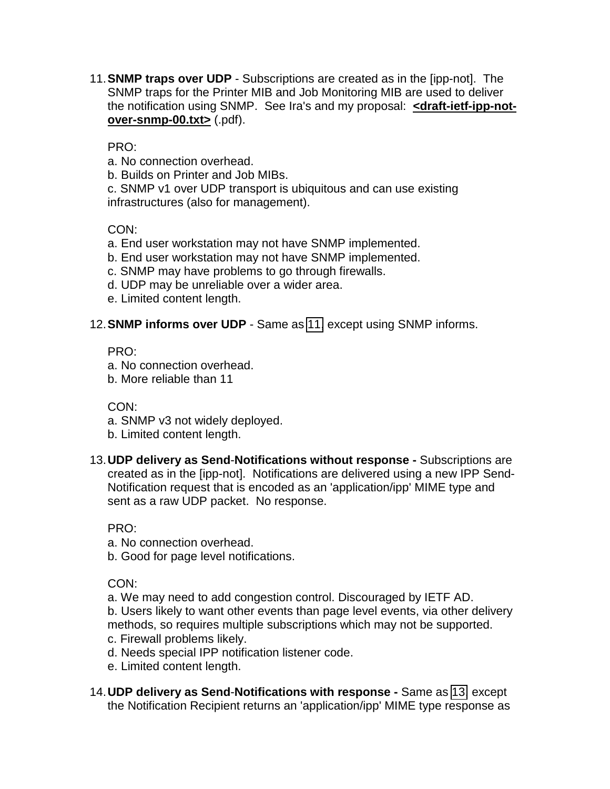<span id="page-4-0"></span>11. **SNMP traps over UDP** - Subscriptions are created as in the [ipp-not]. The SNMP traps for the Printer MIB and Job Monitoring MIB are used to deliver the notification using SNMP. See Ira's and my proposal: **<draft-ietf-ipp-notover-snmp-00.txt>** (.pdf).

# PRO:

a. No connection overhead.

b. Builds on Printer and Job MIBs.

c. SNMP v1 over UDP transport is ubiquitous and can use existing infrastructures (also for management).

# CON:

- a. End user workstation may not have SNMP implemented.
- b. End user workstation may not have SNMP implemented.
- c. SNMP may have problems to go through firewalls.
- d. UDP may be unreliable over a wider area.
- e. Limited content length.

### 12. **SNMP informs over UDP** - Same as 11, except using SNMP informs.

### PRO:

- a. No connection overhead.
- b. More reliable than 11

# CON:

- a. SNMP v3 not widely deployed.
- b. Limited content length.
- 13. **UDP delivery as Send**-**Notifications without response** Subscriptions are created as in the [ipp-not]. Notifications are delivered using a new IPP Send-Notification request that is encoded as an 'application/ipp' MIME type and sent as a raw UDP packet. No response.

PRO:

a. No connection overhead.

b. Good for page level notifications.

CON:

a. We may need to add congestion control. Discouraged by IETF AD.

b. Users likely to want other events than page level events, via other delivery methods, so requires multiple subscriptions which may not be supported.

- c. Firewall problems likely.
- d. Needs special IPP notification listener code.
- e. Limited content length.
- 14. **UDP delivery as Send**-**Notifications with response** Same as 13, except the Notification Recipient returns an 'application/ipp' MIME type response as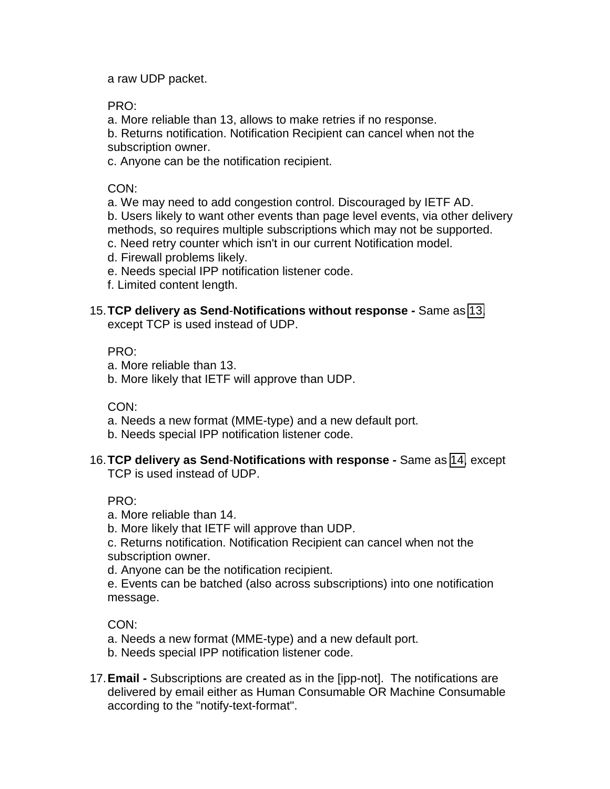a raw UDP packet.

PRO:

a. More reliable than 13, allows to make retries if no response.

b. Returns notification. Notification Recipient can cancel when not the subscription owner.

c. Anyone can be the notification recipient.

CON:

a. We may need to add congestion control. Discouraged by IETF AD.

b. Users likely to want other events than page level events, via other delivery methods, so requires multiple subscriptions which may not be supported.

c. Need retry counter which isn't in our current Notification model.

d. Firewall problems likely.

e. Needs special IPP notification listener code.

f. Limited content length.

15. **TCP delivery as Send**-**Notifications without response -** Same as [13,](#page-4-0)

except TCP is used instead of UDP.

PRO:

- a. More reliable than 13.
- b. More likely that IETF will approve than UDP.

CON:

- a. Needs a new format (MME-type) and a new default port.
- b. Needs special IPP notification listener code.
- 16. **TCP delivery as Send**-**Notifications with response** Same as 14, except TCP is used instead of UDP.

PRO:

a. More reliable than 14.

b. More likely that IETF will approve than UDP.

c. Returns notification. Notification Recipient can cancel when not the subscription owner.

d. Anyone can be the notification recipient.

e. Events can be batched (also across subscriptions) into one notification message.

CON:

a. Needs a new format (MME-type) and a new default port.

- b. Needs special IPP notification listener code.
- 17. **Email -** Subscriptions are created as in the [ipp-not]. The notifications are delivered by email either as Human Consumable OR Machine Consumable according to the "notify-text-format".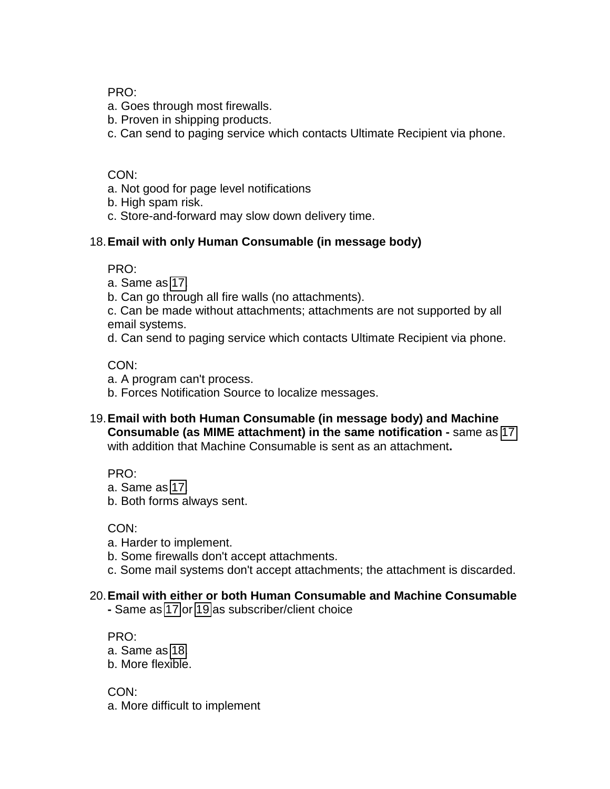PRO:

- a. Goes through most firewalls.
- b. Proven in shipping products.
- c. Can send to paging service which contacts Ultimate Recipient via phone.

### CON:

- a. Not good for page level notifications
- b. High spam risk.
- c. Store-and-forward may slow down delivery time.

### 18. **Email with only Human Consumable (in message body)**

PRO:

- a. Same as 17.
- b. Can go through all fire walls (no attachments).
- c. Can be made without attachments; attachments are not supported by all email systems.
- d. Can send to paging service which contacts Ultimate Recipient via phone.

CON:

- a. A program can't process.
- b. Forces Notification Source to localize messages.
- 19. **Email with both Human Consumable (in message body) and Machine Consumable (as MIME attachment) in the same notification -** same as 17 with addition that Machine Consumable is sent as an attachment**.**

PRO:

- a. Same as 17.
- b. Both forms always sent.

CON:

- a. Harder to implement.
- b. Some firewalls don't accept attachments.
- c. Some mail systems don't accept attachments; the attachment is discarded.

# 20. **Email with either or both Human Consumable and Machine Consumable**

**-** Same as 17 or 19 as subscriber/client choice

PRO:

- a. Same as 18.
- b. More flexible.

CON: a. More difficult to implement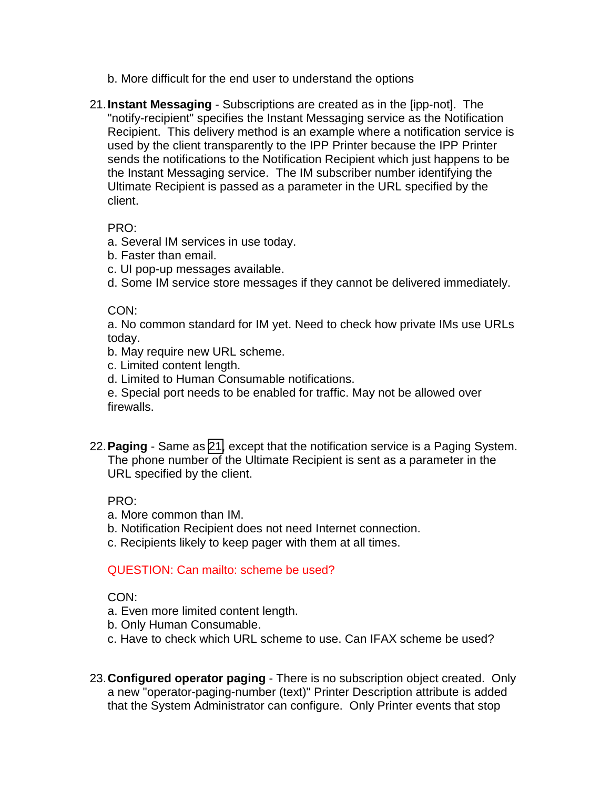- <span id="page-7-0"></span>b. More difficult for the end user to understand the options
- 21. **Instant Messaging** Subscriptions are created as in the [ipp-not]. The "notify-recipient" specifies the Instant Messaging service as the Notification Recipient. This delivery method is an example where a notification service is used by the client transparently to the IPP Printer because the IPP Printer sends the notifications to the Notification Recipient which just happens to be the Instant Messaging service. The IM subscriber number identifying the Ultimate Recipient is passed as a parameter in the URL specified by the client.

#### PRO:

- a. Several IM services in use today.
- b. Faster than email.
- c. UI pop-up messages available.
- d. Some IM service store messages if they cannot be delivered immediately.

#### CON:

a. No common standard for IM yet. Need to check how private IMs use URLs today.

- b. May require new URL scheme.
- c. Limited content length.
- d. Limited to Human Consumable notifications.

e. Special port needs to be enabled for traffic. May not be allowed over firewalls.

22. **Paging** - Same as 21, except that the notification service is a Paging System. The phone number of the Ultimate Recipient is sent as a parameter in the URL specified by the client.

### PRO:

- a. More common than IM.
- b. Notification Recipient does not need Internet connection.
- c. Recipients likely to keep pager with them at all times.

### QUESTION: Can mailto: scheme be used?

CON:

- a. Even more limited content length.
- b. Only Human Consumable.
- c. Have to check which URL scheme to use. Can IFAX scheme be used?
- 23. **Configured operator paging** There is no subscription object created. Only a new "operator-paging-number (text)" Printer Description attribute is added that the System Administrator can configure. Only Printer events that stop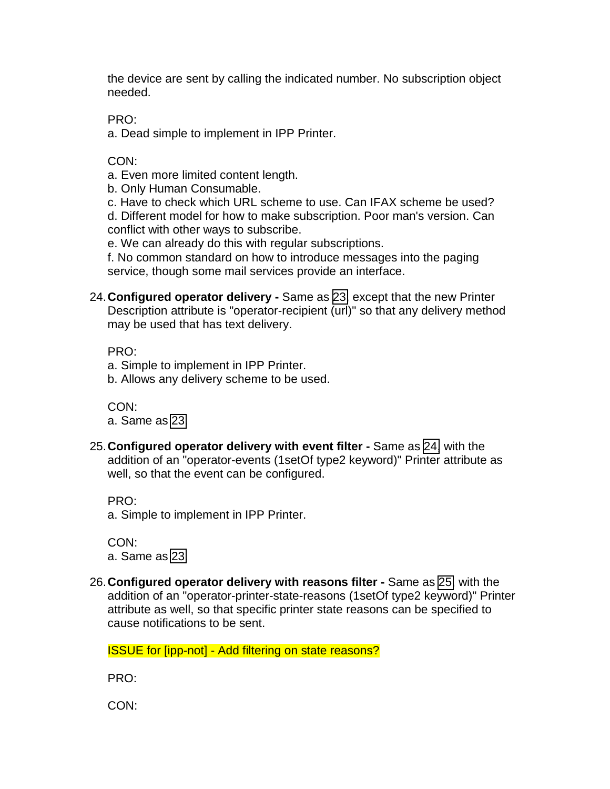<span id="page-8-0"></span>the device are sent by calling the indicated number. No subscription object needed.

PRO:

a. Dead simple to implement in IPP Printer.

CON:

a. Even more limited content length.

b. Only Human Consumable.

c. Have to check which URL scheme to use. Can IFAX scheme be used? d. Different model for how to make subscription. Poor man's version. Can conflict with other ways to subscribe.

e. We can already do this with regular subscriptions.

f. No common standard on how to introduce messages into the paging service, though some mail services provide an interface.

24. **Configured operator delivery -** Same as [23,](#page-7-0) except that the new Printer Description attribute is "operator-recipient (url)" so that any delivery method may be used that has text delivery.

PRO:

- a. Simple to implement in IPP Printer.
- b. Allows any delivery scheme to be used.

CON: a. Same as 23.

25. **Configured operator delivery with event filter -** Same as 24, with the addition of an "operator-events (1setOf type2 keyword)" Printer attribute as well, so that the event can be configured.

PRO:

a. Simple to implement in IPP Printer.

CON: a. Same as 23.

26. **Configured operator delivery with reasons filter -** Same as 25, with the addition of an "operator-printer-state-reasons (1setOf type2 keyword)" Printer attribute as well, so that specific printer state reasons can be specified to cause notifications to be sent.

ISSUE for [ipp-not] - Add filtering on state reasons?

PRO:

CON: